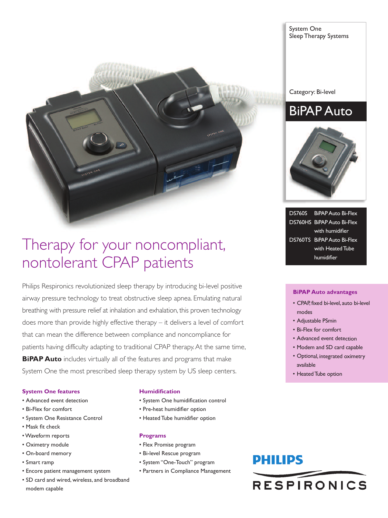

## Therapy for your noncompliant, nontolerant CPAP patients

Philips Respironics revolutionized sleep therapy by introducing bi-level positive airway pressure technology to treat obstructive sleep apnea. Emulating natural breathing with pressure relief at inhalation and exhalation, this proven technology does more than provide highly effective therapy – it delivers a level of comfort that can mean the difference between compliance and noncompliance for patients having difficulty adapting to traditional CPAP therapy.At the same time, **BiPAP Auto** includes virtually all of the features and programs that make System One the most prescribed sleep therapy system by US sleep centers.

### **System One features**

- Advanced event detection
- Bi-Flex for comfort
- System One Resistance Control
- Mask fit check
- •Waveform reports
- Oximetry module
- On-board memory
- Smart ramp
- Encore patient management system
- SD card and wired, wireless, and broadband modem capable

### **Humidification**

- System One humidification control
- Pre-heat humidifier option
- Heated Tube humidifier option

### **Programs**

- Flex Promise program
- Bi-level Rescue program
- System "One-Touch" program
- Partners in Compliance Management

### System One Sleep Therapy Systems

Category: Bi-level

### BiPAP Auto



DS760S BiPAP Auto Bi-Flex DS760HS BiPAP Auto Bi-Flex with humidifier DS760TS BiPAP Auto Bi-Flex with Heated Tube humidifier

### **BiPAP Auto advantages**

- CPAP, fixed bi-level, auto bi-level modes
- Adjustable PSmin
- Bi-Flex for comfort
- Advanced event detection
- Modem and SD card capable
- Optional, integrated oximetry available
- Heated Tube option

## **PHILIPS**